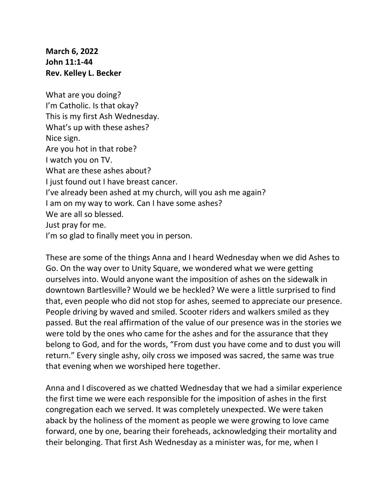**March 6, 2022 John 11:1-44 Rev. Kelley L. Becker**

What are you doing? I'm Catholic. Is that okay? This is my first Ash Wednesday. What's up with these ashes? Nice sign. Are you hot in that robe? I watch you on TV. What are these ashes about? I just found out I have breast cancer. I've already been ashed at my church, will you ash me again? I am on my way to work. Can I have some ashes? We are all so blessed. Just pray for me. I'm so glad to finally meet you in person.

These are some of the things Anna and I heard Wednesday when we did Ashes to Go. On the way over to Unity Square, we wondered what we were getting ourselves into. Would anyone want the imposition of ashes on the sidewalk in downtown Bartlesville? Would we be heckled? We were a little surprised to find that, even people who did not stop for ashes, seemed to appreciate our presence. People driving by waved and smiled. Scooter riders and walkers smiled as they passed. But the real affirmation of the value of our presence was in the stories we were told by the ones who came for the ashes and for the assurance that they belong to God, and for the words, "From dust you have come and to dust you will return." Every single ashy, oily cross we imposed was sacred, the same was true that evening when we worshiped here together.

Anna and I discovered as we chatted Wednesday that we had a similar experience the first time we were each responsible for the imposition of ashes in the first congregation each we served. It was completely unexpected. We were taken aback by the holiness of the moment as people we were growing to love came forward, one by one, bearing their foreheads, acknowledging their mortality and their belonging. That first Ash Wednesday as a minister was, for me, when I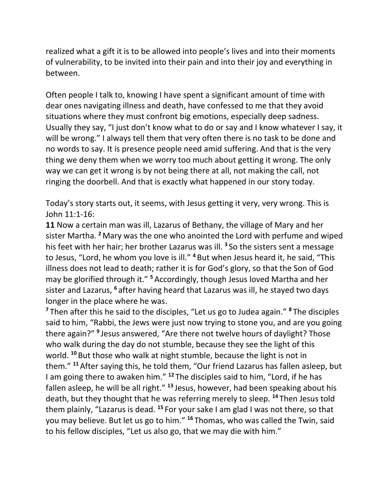realized what a gift it is to be allowed into people's lives and into their moments of vulnerability, to be invited into their pain and into their joy and everything in between.

Often people I talk to, knowing I have spent a significant amount of time with dear ones navigating illness and death, have confessed to me that they avoid situations where they must confront big emotions, especially deep sadness. Usually they say, "I just don't know what to do or say and I know whatever I say, it will be wrong." I always tell them that very often there is no task to be done and no words to say. It is presence people need amid suffering. And that is the very thing we deny them when we worry too much about getting it wrong. The only way we can get it wrong is by not being there at all, not making the call, not ringing the doorbell. And that is exactly what happened in our story today.

Today's story starts out, it seems, with Jesus getting it very, very wrong. This is John 11:1-16:

**11** Now a certain man was ill, Lazarus of Bethany, the village of Mary and her sister Martha. **<sup>2</sup>** Mary was the one who anointed the Lord with perfume and wiped his feet with her hair; her brother Lazarus was ill. **<sup>3</sup>** So the sisters sent a message to Jesus, "Lord, he whom you love is ill." **<sup>4</sup>** But when Jesus heard it, he said, "This illness does not lead to death; rather it is for God's glory, so that the Son of God may be glorified through it." **<sup>5</sup>** Accordingly, though Jesus loved Martha and her sister and Lazarus, **<sup>6</sup>** after having heard that Lazarus was ill, he stayed two days longer in the place where he was.

**<sup>7</sup>** Then after this he said to the disciples, "Let us go to Judea again." **<sup>8</sup>** The disciples said to him, "Rabbi, the Jews were just now trying to stone you, and are you going there again?" **<sup>9</sup>** Jesus answered, "Are there not twelve hours of daylight? Those who walk during the day do not stumble, because they see the light of this world. **<sup>10</sup>** But those who walk at night stumble, because the light is not in them." **<sup>11</sup>** After saying this, he told them, "Our friend Lazarus has fallen asleep, but I am going there to awaken him." **<sup>12</sup>** The disciples said to him, "Lord, if he has fallen asleep, he will be all right." **<sup>13</sup>** Jesus, however, had been speaking about his death, but they thought that he was referring merely to sleep. **<sup>14</sup>** Then Jesus told them plainly, "Lazarus is dead. **<sup>15</sup>** For your sake I am glad I was not there, so that you may believe. But let us go to him." **<sup>16</sup>** Thomas, who was called the Twin, said to his fellow disciples, "Let us also go, that we may die with him."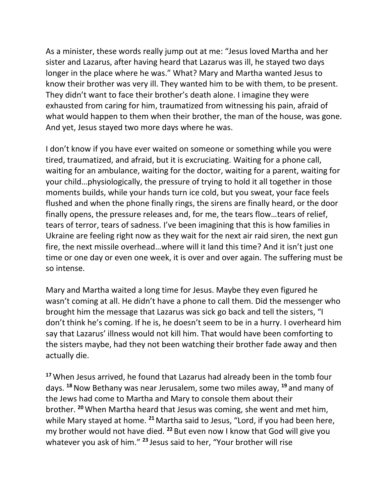As a minister, these words really jump out at me: "Jesus loved Martha and her sister and Lazarus, after having heard that Lazarus was ill, he stayed two days longer in the place where he was." What? Mary and Martha wanted Jesus to know their brother was very ill. They wanted him to be with them, to be present. They didn't want to face their brother's death alone. I imagine they were exhausted from caring for him, traumatized from witnessing his pain, afraid of what would happen to them when their brother, the man of the house, was gone. And yet, Jesus stayed two more days where he was.

I don't know if you have ever waited on someone or something while you were tired, traumatized, and afraid, but it is excruciating. Waiting for a phone call, waiting for an ambulance, waiting for the doctor, waiting for a parent, waiting for your child…physiologically, the pressure of trying to hold it all together in those moments builds, while your hands turn ice cold, but you sweat, your face feels flushed and when the phone finally rings, the sirens are finally heard, or the door finally opens, the pressure releases and, for me, the tears flow…tears of relief, tears of terror, tears of sadness. I've been imagining that this is how families in Ukraine are feeling right now as they wait for the next air raid siren, the next gun fire, the next missile overhead…where will it land this time? And it isn't just one time or one day or even one week, it is over and over again. The suffering must be so intense.

Mary and Martha waited a long time for Jesus. Maybe they even figured he wasn't coming at all. He didn't have a phone to call them. Did the messenger who brought him the message that Lazarus was sick go back and tell the sisters, "I don't think he's coming. If he is, he doesn't seem to be in a hurry. I overheard him say that Lazarus' illness would not kill him. That would have been comforting to the sisters maybe, had they not been watching their brother fade away and then actually die.

**<sup>17</sup>**When Jesus arrived, he found that Lazarus had already been in the tomb four days. **<sup>18</sup>**Now Bethany was near Jerusalem, some two miles away, **<sup>19</sup>** and many of the Jews had come to Martha and Mary to console them about their brother. **<sup>20</sup>**When Martha heard that Jesus was coming, she went and met him, while Mary stayed at home. **<sup>21</sup>** Martha said to Jesus, "Lord, if you had been here, my brother would not have died. **<sup>22</sup>** But even now I know that God will give you whatever you ask of him." **<sup>23</sup>** Jesus said to her, "Your brother will rise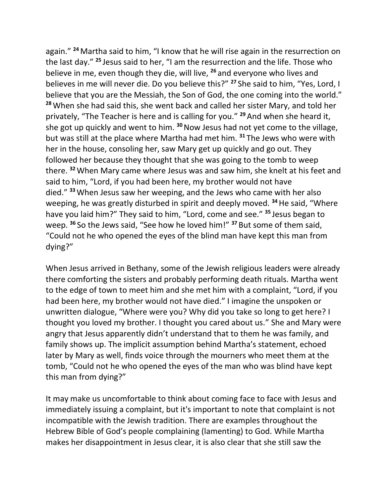again." **<sup>24</sup>** Martha said to him, "I know that he will rise again in the resurrection on the last day." **<sup>25</sup>** Jesus said to her, "I am the resurrection and the life. Those who believe in me, even though they die, will live, **<sup>26</sup>** and everyone who lives and believes in me will never die. Do you believe this?" **<sup>27</sup>** She said to him, "Yes, Lord, I believe that you are the Messiah, the Son of God, the one coming into the world." **<sup>28</sup>**When she had said this, she went back and called her sister Mary, and told her privately, "The Teacher is here and is calling for you." **<sup>29</sup>** And when she heard it, she got up quickly and went to him. **<sup>30</sup>**Now Jesus had not yet come to the village, but was still at the place where Martha had met him. **<sup>31</sup>** The Jews who were with her in the house, consoling her, saw Mary get up quickly and go out. They followed her because they thought that she was going to the tomb to weep there. **<sup>32</sup>**When Mary came where Jesus was and saw him, she knelt at his feet and said to him, "Lord, if you had been here, my brother would not have died." **<sup>33</sup>**When Jesus saw her weeping, and the Jews who came with her also weeping, he was greatly disturbed in spirit and deeply moved. **<sup>34</sup>**He said, "Where have you laid him?" They said to him, "Lord, come and see." **<sup>35</sup>** Jesus began to weep. **<sup>36</sup>** So the Jews said, "See how he loved him!" **<sup>37</sup>** But some of them said, "Could not he who opened the eyes of the blind man have kept this man from dying?"

When Jesus arrived in Bethany, some of the Jewish religious leaders were already there comforting the sisters and probably performing death rituals. Martha went to the edge of town to meet him and she met him with a complaint, "Lord, if you had been here, my brother would not have died." I imagine the unspoken or unwritten dialogue, "Where were you? Why did you take so long to get here? I thought you loved my brother. I thought you cared about us." She and Mary were angry that Jesus apparently didn't understand that to them he was family, and family shows up. The implicit assumption behind Martha's statement, echoed later by Mary as well, finds voice through the mourners who meet them at the tomb, "Could not he who opened the eyes of the man who was blind have kept this man from dying?"

It may make us uncomfortable to think about coming face to face with Jesus and immediately issuing a complaint, but it's important to note that complaint is not incompatible with the Jewish tradition. There are examples throughout the Hebrew Bible of God's people complaining (lamenting) to God. While Martha makes her disappointment in Jesus clear, it is also clear that she still saw the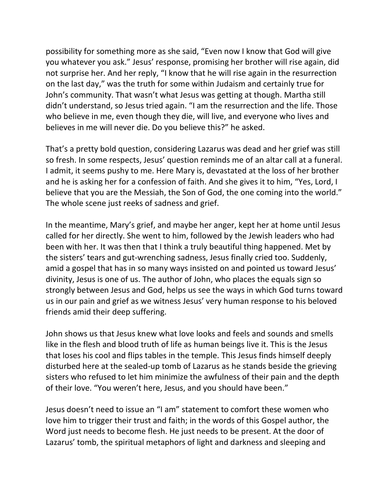possibility for something more as she said, "Even now I know that God will give you whatever you ask." Jesus' response, promising her brother will rise again, did not surprise her. And her reply, "I know that he will rise again in the resurrection on the last day," was the truth for some within Judaism and certainly true for John's community. That wasn't what Jesus was getting at though. Martha still didn't understand, so Jesus tried again. "I am the resurrection and the life. Those who believe in me, even though they die, will live, and everyone who lives and believes in me will never die. Do you believe this?" he asked.

That's a pretty bold question, considering Lazarus was dead and her grief was still so fresh. In some respects, Jesus' question reminds me of an altar call at a funeral. I admit, it seems pushy to me. Here Mary is, devastated at the loss of her brother and he is asking her for a confession of faith. And she gives it to him, "Yes, Lord, I believe that you are the Messiah, the Son of God, the one coming into the world." The whole scene just reeks of sadness and grief.

In the meantime, Mary's grief, and maybe her anger, kept her at home until Jesus called for her directly. She went to him, followed by the Jewish leaders who had been with her. It was then that I think a truly beautiful thing happened. Met by the sisters' tears and gut-wrenching sadness, Jesus finally cried too. Suddenly, amid a gospel that has in so many ways insisted on and pointed us toward Jesus' divinity, Jesus is one of us. The author of John, who places the equals sign so strongly between Jesus and God, helps us see the ways in which God turns toward us in our pain and grief as we witness Jesus' very human response to his beloved friends amid their deep suffering.

John shows us that Jesus knew what love looks and feels and sounds and smells like in the flesh and blood truth of life as human beings live it. This is the Jesus that loses his cool and flips tables in the temple. This Jesus finds himself deeply disturbed here at the sealed-up tomb of Lazarus as he stands beside the grieving sisters who refused to let him minimize the awfulness of their pain and the depth of their love. "You weren't here, Jesus, and you should have been."

Jesus doesn't need to issue an "I am" statement to comfort these women who love him to trigger their trust and faith; in the words of this Gospel author, the Word just needs to become flesh. He just needs to be present. At the door of Lazarus' tomb, the spiritual metaphors of light and darkness and sleeping and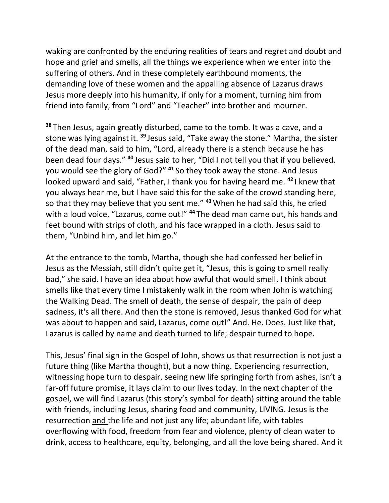waking are confronted by the enduring realities of tears and regret and doubt and hope and grief and smells, all the things we experience when we enter into the suffering of others. And in these completely earthbound moments, the demanding love of these women and the appalling absence of Lazarus draws Jesus more deeply into his humanity, if only for a moment, turning him from friend into family, from "Lord" and "Teacher" into brother and mourner.

**<sup>38</sup>** Then Jesus, again greatly disturbed, came to the tomb. It was a cave, and a stone was lying against it. **<sup>39</sup>** Jesus said, "Take away the stone." Martha, the sister of the dead man, said to him, "Lord, already there is a stench because he has been dead four days." **<sup>40</sup>** Jesus said to her, "Did I not tell you that if you believed, you would see the glory of God?" **<sup>41</sup>** So they took away the stone. And Jesus looked upward and said, "Father, I thank you for having heard me. **<sup>42</sup>** I knew that you always hear me, but I have said this for the sake of the crowd standing here, so that they may believe that you sent me." **<sup>43</sup>**When he had said this, he cried with a loud voice, "Lazarus, come out!" **<sup>44</sup>** The dead man came out, his hands and feet bound with strips of cloth, and his face wrapped in a cloth. Jesus said to them, "Unbind him, and let him go."

At the entrance to the tomb, Martha, though she had confessed her belief in Jesus as the Messiah, still didn't quite get it, "Jesus, this is going to smell really bad," she said. I have an idea about how awful that would smell. I think about smells like that every time I mistakenly walk in the room when John is watching the Walking Dead. The smell of death, the sense of despair, the pain of deep sadness, it's all there. And then the stone is removed, Jesus thanked God for what was about to happen and said, Lazarus, come out!" And. He. Does. Just like that, Lazarus is called by name and death turned to life; despair turned to hope.

This, Jesus' final sign in the Gospel of John, shows us that resurrection is not just a future thing (like Martha thought), but a now thing. Experiencing resurrection, witnessing hope turn to despair, seeing new life springing forth from ashes, isn't a far-off future promise, it lays claim to our lives today. In the next chapter of the gospel, we will find Lazarus (this story's symbol for death) sitting around the table with friends, including Jesus, sharing food and community, LIVING. Jesus is the resurrection and the life and not just any life; abundant life, with tables overflowing with food, freedom from fear and violence, plenty of clean water to drink, access to healthcare, equity, belonging, and all the love being shared. And it